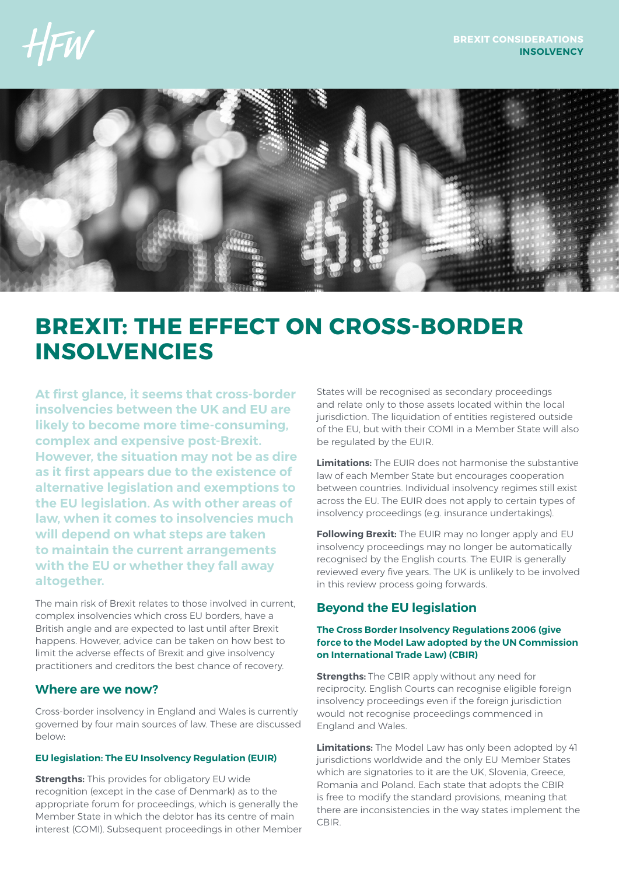

# **BREXIT: THE EFFECT ON CROSS-BORDER INSOLVENCIES**

**At first glance, it seems that cross-border insolvencies between the UK and EU are likely to become more time-consuming, complex and expensive post-Brexit. However, the situation may not be as dire as it first appears due to the existence of alternative legislation and exemptions to the EU legislation. As with other areas of law, when it comes to insolvencies much will depend on what steps are taken to maintain the current arrangements with the EU or whether they fall away altogether.**

The main risk of Brexit relates to those involved in current, complex insolvencies which cross EU borders, have a British angle and are expected to last until after Brexit happens. However, advice can be taken on how best to limit the adverse effects of Brexit and give insolvency practitioners and creditors the best chance of recovery.

### **Where are we now?**

Cross-border insolvency in England and Wales is currently governed by four main sources of law. These are discussed below:

### **EU legislation: The EU Insolvency Regulation (EUIR)**

**Strengths:** This provides for obligatory EU wide recognition (except in the case of Denmark) as to the appropriate forum for proceedings, which is generally the Member State in which the debtor has its centre of main interest (COMI). Subsequent proceedings in other Member States will be recognised as secondary proceedings and relate only to those assets located within the local jurisdiction. The liquidation of entities registered outside of the EU, but with their COMI in a Member State will also be regulated by the EUIR.

**Limitations:** The EUIR does not harmonise the substantive law of each Member State but encourages cooperation between countries. Individual insolvency regimes still exist across the EU. The EUIR does not apply to certain types of insolvency proceedings (e.g. insurance undertakings).

**Following Brexit:** The EUIR may no longer apply and EU insolvency proceedings may no longer be automatically recognised by the English courts. The EUIR is generally reviewed every five years. The UK is unlikely to be involved in this review process going forwards.

## **Beyond the EU legislation**

### **The Cross Border Insolvency Regulations 2006 (give force to the Model Law adopted by the UN Commission on International Trade Law) (CBIR)**

**Strengths:** The CBIR apply without any need for reciprocity. English Courts can recognise eligible foreign insolvency proceedings even if the foreign jurisdiction would not recognise proceedings commenced in England and Wales.

**Limitations:** The Model Law has only been adopted by 41 jurisdictions worldwide and the only EU Member States which are signatories to it are the UK, Slovenia, Greece, Romania and Poland. Each state that adopts the CBIR is free to modify the standard provisions, meaning that there are inconsistencies in the way states implement the CBIR.